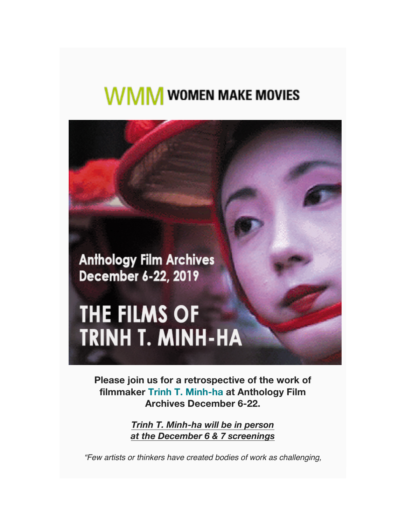# **WMM** WOMEN MAKE MOVIES

**Anthology Film Archives** December 6-22, 2019

# THE FILMS OF **TRINH T. MINH-HA**

**Please join us for a retrospective of the work of filmmaker Trinh T. Minh-ha at Anthology Film Archives December 6-22.**

> *Trinh T. Minh-ha will be in person at the December 6 & 7 screenings*

*"Few artists or thinkers have created bodies of work as challenging,*